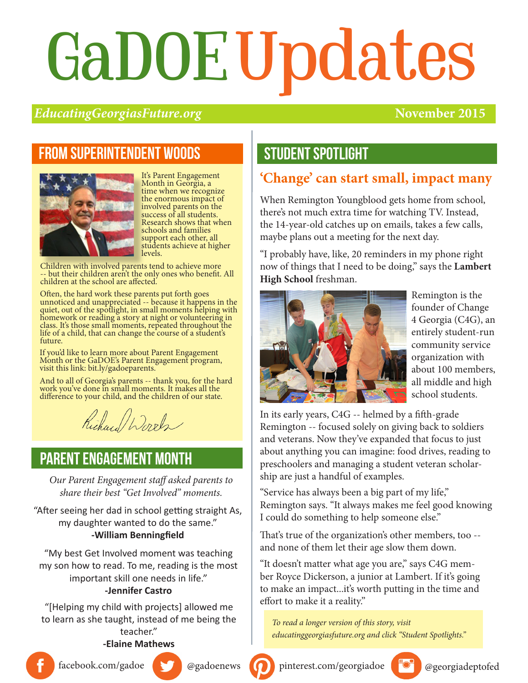# GaDOEUpdates

#### *EducatingGeorgiasFuture.org* **November 2015**

### From superintendent woods



It's Parent Engagement Month in Georgia, a time when we recognize the enormous impact of involved parents on the success of all students. Research shows that when schools and families support each other, all students achieve at higher levels.

Children with involved parents tend to achieve more -- but their children aren't the only ones who benefit. All children at the school are affected.

Often, the hard work these parents put forth goes unnoticed and unappreciated -- because it happens in the quiet, out of the spotlight, in small moments helping with homework or reading a story at night or volunteering in class. It's those small moments, repeated throughout the life of a child, that can change the course of a student's future.

If you'd like to learn more about Parent Engagement Month or the GaDOE's Parent Engagement program, visit this link: bit.ly/gadoeparents.

And to all of Georgia's parents -- thank you, for the hard work you've done in small moments. It makes all the difference to your child, and the children of our state.

Richard Words

#### PARENT engagement month

*Our Parent Engagement staff asked parents to share their best "Get Involved" moments.* 

"After seeing her dad in school getting straight As, my daughter wanted to do the same." **-William Benningfield**

"My best Get Involved moment was teaching my son how to read. To me, reading is the most important skill one needs in life."

#### **-Jennifer Castro**

"[Helping my child with projects] allowed me to learn as she taught, instead of me being the teacher."

#### **-Elaine Mathews**



#### **'Change' can start small, impact many**

When Remington Youngblood gets home from school, there's not much extra time for watching TV. Instead, the 14-year-old catches up on emails, takes a few calls, maybe plans out a meeting for the next day.

"I probably have, like, 20 reminders in my phone right now of things that I need to be doing," says the **Lambert High School** freshman.



Remington is the founder of Change 4 Georgia (C4G), an entirely student-run community service organization with about 100 members, all middle and high school students.

In its early years, C4G -- helmed by a fifth-grade Remington -- focused solely on giving back to soldiers and veterans. Now they've expanded that focus to just about anything you can imagine: food drives, reading to preschoolers and managing a student veteran scholarship are just a handful of examples.

"Service has always been a big part of my life," Remington says. "It always makes me feel good knowing I could do something to help someone else."

That's true of the organization's other members, too - and none of them let their age slow them down.

"It doesn't matter what age you are," says C4G member Royce Dickerson, a junior at Lambert. If it's going to make an impact...it's worth putting in the time and effort to make it a reality."

*To read a longer version of this story, visit educatinggeorgiasfuture.org and click "Student Spotlights."*